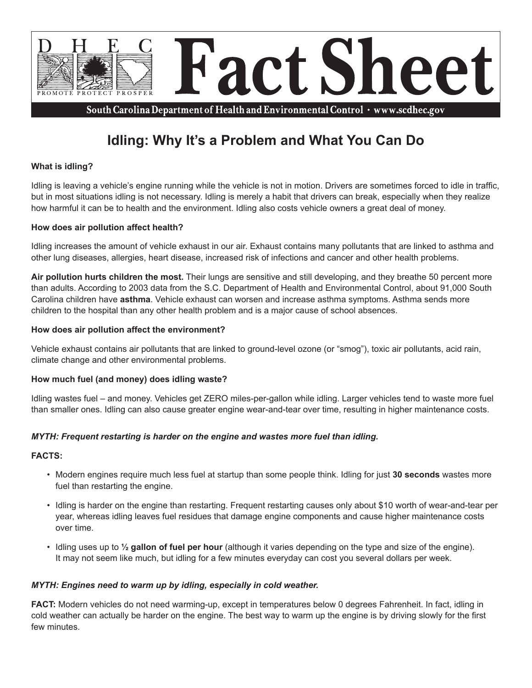

South Carolina Department of Health and Environmental Control · www.scdhec.gov

# **Idling: Why It's a Problem and What You Can Do**

# **What is idling?**

Idling is leaving a vehicle's engine running while the vehicle is not in motion. Drivers are sometimes forced to idle in traffic, but in most situations idling is not necessary. Idling is merely a habit that drivers can break, especially when they realize how harmful it can be to health and the environment. Idling also costs vehicle owners a great deal of money.

# **How does air pollution affect health?**

Idling increases the amount of vehicle exhaust in our air. Exhaust contains many pollutants that are linked to asthma and other lung diseases, allergies, heart disease, increased risk of infections and cancer and other health problems.

**Air pollution hurts children the most.** Their lungs are sensitive and still developing, and they breathe 50 percent more than adults. According to 2003 data from the S.C. Department of Health and Environmental Control, about 91,000 South Carolina children have **asthma**. Vehicle exhaust can worsen and increase asthma symptoms. Asthma sends more children to the hospital than any other health problem and is a major cause of school absences.

# **How does air pollution affect the environment?**

Vehicle exhaust contains air pollutants that are linked to ground-level ozone (or "smog"), toxic air pollutants, acid rain, climate change and other environmental problems.

#### **How much fuel (and money) does idling waste?**

Idling wastes fuel – and money. Vehicles get ZERO miles-per-gallon while idling. Larger vehicles tend to waste more fuel than smaller ones. Idling can also cause greater engine wear-and-tear over time, resulting in higher maintenance costs.

# *MYTH: Frequent restarting is harder on the engine and wastes more fuel than idling.*

#### **FACTS:**

- Modern engines require much less fuel at startup than some people think. Idling for just **30 seconds** wastes more fuel than restarting the engine.
- Idling is harder on the engine than restarting. Frequent restarting causes only about \$10 worth of wear-and-tear per year, whereas idling leaves fuel residues that damage engine components and cause higher maintenance costs over time.
- Idling uses up to **½ gallon of fuel per hour** (although it varies depending on the type and size of the engine). It may not seem like much, but idling for a few minutes everyday can cost you several dollars per week.

#### *MYTH: Engines need to warm up by idling, especially in cold weather.*

**FACT:** Modern vehicles do not need warming-up, except in temperatures below 0 degrees Fahrenheit. In fact, idling in cold weather can actually be harder on the engine. The best way to warm up the engine is by driving slowly for the first few minutes.